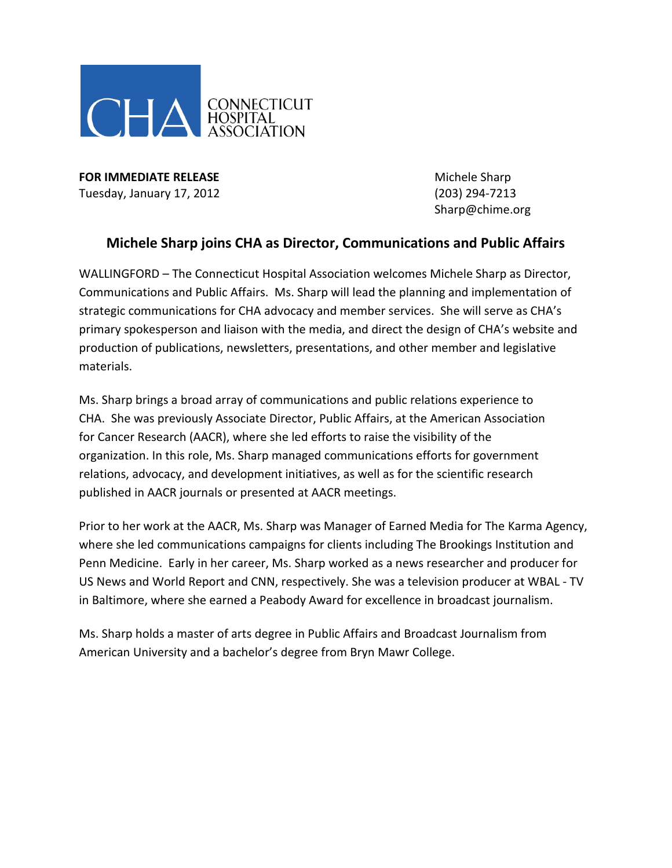

**FOR IMMEDIATE RELEASE Michele Sharp** Tuesday, January 17, 2012 (203) 294-7213

Sharp@chime.org

## **Michele Sharp joins CHA as Director, Communications and Public Affairs**

WALLINGFORD – The Connecticut Hospital Association welcomes Michele Sharp as Director, Communications and Public Affairs. Ms. Sharp will lead the planning and implementation of strategic communications for CHA advocacy and member services. She will serve as CHA's primary spokesperson and liaison with the media, and direct the design of CHA's website and production of publications, newsletters, presentations, and other member and legislative materials.

Ms. Sharp brings a broad array of communications and public relations experience to CHA. She was previously Associate Director, Public Affairs, at the American Association for Cancer Research (AACR), where she led efforts to raise the visibility of the organization. In this role, Ms. Sharp managed communications efforts for government relations, advocacy, and development initiatives, as well as for the scientific research published in AACR journals or presented at AACR meetings.

Prior to her work at the AACR, Ms. Sharp was Manager of Earned Media for The Karma Agency, where she led communications campaigns for clients including The Brookings Institution and Penn Medicine. Early in her career, Ms. Sharp worked as a news researcher and producer for US News and World Report and CNN, respectively. She was a television producer at WBAL - TV in Baltimore, where she earned a Peabody Award for excellence in broadcast journalism.

Ms. Sharp holds a master of arts degree in Public Affairs and Broadcast Journalism from American University and a bachelor's degree from Bryn Mawr College.